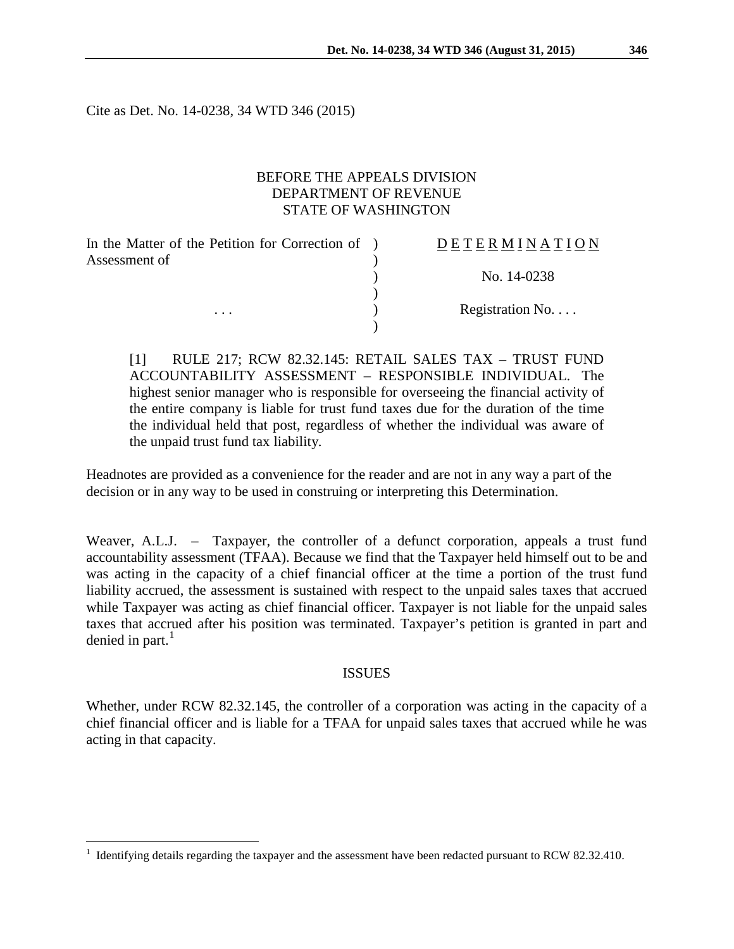Cite as Det. No. 14-0238, 34 WTD 346 (2015)

### BEFORE THE APPEALS DIVISION DEPARTMENT OF REVENUE STATE OF WASHINGTON

 $\lambda$ 

)

)

In the Matter of the Petition for Correction of ) Assessment of

# D E T E R M I N A T I O N

) No. 14-0238

... (a) Registration No....

[1] RULE 217; RCW 82.32.145: RETAIL SALES TAX – TRUST FUND ACCOUNTABILITY ASSESSMENT – RESPONSIBLE INDIVIDUAL. The highest senior manager who is responsible for overseeing the financial activity of the entire company is liable for trust fund taxes due for the duration of the time the individual held that post, regardless of whether the individual was aware of the unpaid trust fund tax liability.

Headnotes are provided as a convenience for the reader and are not in any way a part of the decision or in any way to be used in construing or interpreting this Determination.

Weaver, A.L.J. – Taxpayer, the controller of a defunct corporation, appeals a trust fund accountability assessment (TFAA). Because we find that the Taxpayer held himself out to be and was acting in the capacity of a chief financial officer at the time a portion of the trust fund liability accrued, the assessment is sustained with respect to the unpaid sales taxes that accrued while Taxpayer was acting as chief financial officer. Taxpayer is not liable for the unpaid sales taxes that accrued after his position was terminated. Taxpayer's petition is granted in part and denied in part. $<sup>1</sup>$  $<sup>1</sup>$  $<sup>1</sup>$ </sup>

#### **ISSUES**

Whether, under RCW 82.32.145, the controller of a corporation was acting in the capacity of a chief financial officer and is liable for a TFAA for unpaid sales taxes that accrued while he was acting in that capacity.

<span id="page-0-0"></span> <sup>1</sup> Identifying details regarding the taxpayer and the assessment have been redacted pursuant to RCW 82.32.410.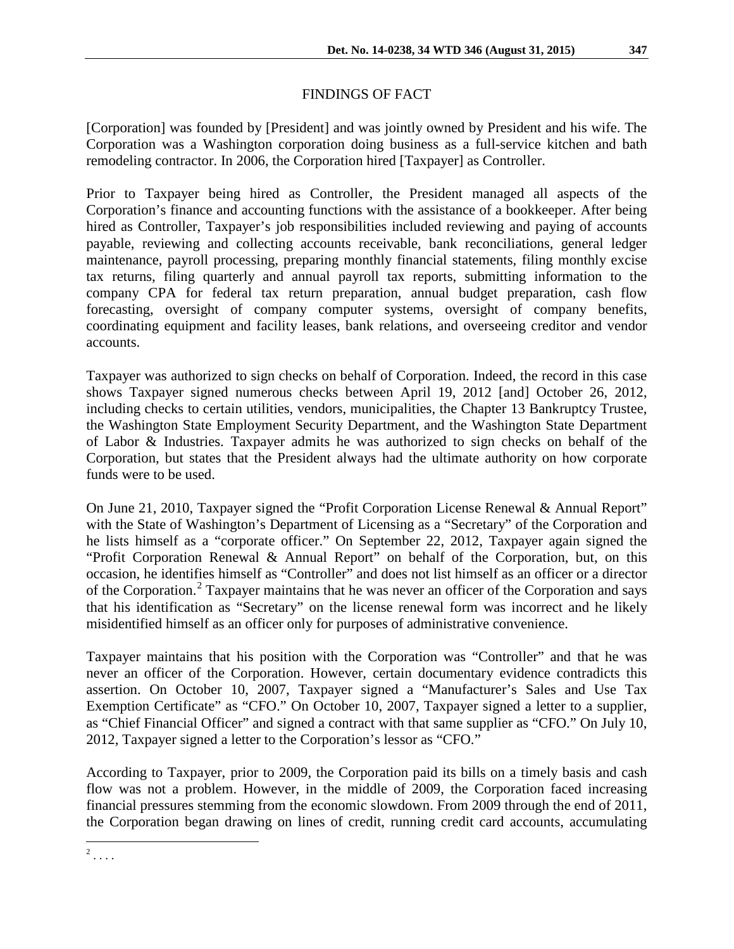## FINDINGS OF FACT

[Corporation] was founded by [President] and was jointly owned by President and his wife. The Corporation was a Washington corporation doing business as a full-service kitchen and bath remodeling contractor. In 2006, the Corporation hired [Taxpayer] as Controller.

Prior to Taxpayer being hired as Controller, the President managed all aspects of the Corporation's finance and accounting functions with the assistance of a bookkeeper. After being hired as Controller, Taxpayer's job responsibilities included reviewing and paying of accounts payable, reviewing and collecting accounts receivable, bank reconciliations, general ledger maintenance, payroll processing, preparing monthly financial statements, filing monthly excise tax returns, filing quarterly and annual payroll tax reports, submitting information to the company CPA for federal tax return preparation, annual budget preparation, cash flow forecasting, oversight of company computer systems, oversight of company benefits, coordinating equipment and facility leases, bank relations, and overseeing creditor and vendor accounts.

Taxpayer was authorized to sign checks on behalf of Corporation. Indeed, the record in this case shows Taxpayer signed numerous checks between April 19, 2012 [and] October 26, 2012, including checks to certain utilities, vendors, municipalities, the Chapter 13 Bankruptcy Trustee, the Washington State Employment Security Department, and the Washington State Department of Labor & Industries. Taxpayer admits he was authorized to sign checks on behalf of the Corporation, but states that the President always had the ultimate authority on how corporate funds were to be used.

On June 21, 2010, Taxpayer signed the "Profit Corporation License Renewal & Annual Report" with the State of Washington's Department of Licensing as a "Secretary" of the Corporation and he lists himself as a "corporate officer." On September 22, 2012, Taxpayer again signed the "Profit Corporation Renewal & Annual Report" on behalf of the Corporation, but, on this occasion, he identifies himself as "Controller" and does not list himself as an officer or a director of the Corporation.[2](#page-1-0) Taxpayer maintains that he was never an officer of the Corporation and says that his identification as "Secretary" on the license renewal form was incorrect and he likely misidentified himself as an officer only for purposes of administrative convenience.

Taxpayer maintains that his position with the Corporation was "Controller" and that he was never an officer of the Corporation. However, certain documentary evidence contradicts this assertion. On October 10, 2007, Taxpayer signed a "Manufacturer's Sales and Use Tax Exemption Certificate" as "CFO." On October 10, 2007, Taxpayer signed a letter to a supplier, as "Chief Financial Officer" and signed a contract with that same supplier as "CFO." On July 10, 2012, Taxpayer signed a letter to the Corporation's lessor as "CFO."

According to Taxpayer, prior to 2009, the Corporation paid its bills on a timely basis and cash flow was not a problem. However, in the middle of 2009, the Corporation faced increasing financial pressures stemming from the economic slowdown. From 2009 through the end of 2011, the Corporation began drawing on lines of credit, running credit card accounts, accumulating

<span id="page-1-0"></span> $2 \ldots$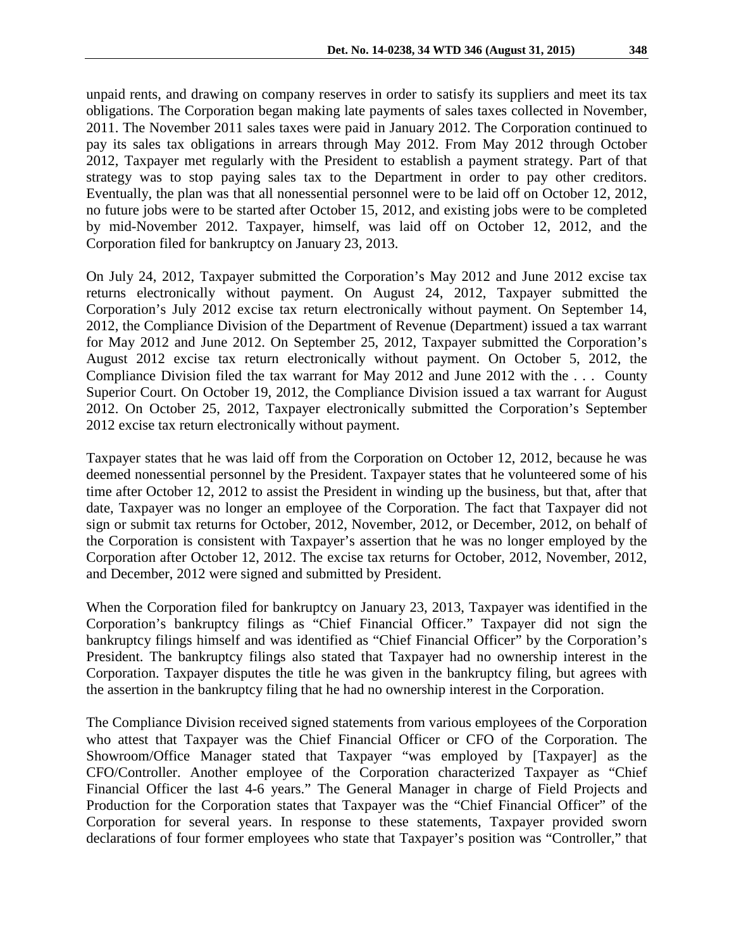unpaid rents, and drawing on company reserves in order to satisfy its suppliers and meet its tax obligations. The Corporation began making late payments of sales taxes collected in November, 2011. The November 2011 sales taxes were paid in January 2012. The Corporation continued to pay its sales tax obligations in arrears through May 2012. From May 2012 through October 2012, Taxpayer met regularly with the President to establish a payment strategy. Part of that strategy was to stop paying sales tax to the Department in order to pay other creditors. Eventually, the plan was that all nonessential personnel were to be laid off on October 12, 2012, no future jobs were to be started after October 15, 2012, and existing jobs were to be completed by mid-November 2012. Taxpayer, himself, was laid off on October 12, 2012, and the Corporation filed for bankruptcy on January 23, 2013.

On July 24, 2012, Taxpayer submitted the Corporation's May 2012 and June 2012 excise tax returns electronically without payment. On August 24, 2012, Taxpayer submitted the Corporation's July 2012 excise tax return electronically without payment. On September 14, 2012, the Compliance Division of the Department of Revenue (Department) issued a tax warrant for May 2012 and June 2012. On September 25, 2012, Taxpayer submitted the Corporation's August 2012 excise tax return electronically without payment. On October 5, 2012, the Compliance Division filed the tax warrant for May 2012 and June 2012 with the . . . County Superior Court. On October 19, 2012, the Compliance Division issued a tax warrant for August 2012. On October 25, 2012, Taxpayer electronically submitted the Corporation's September 2012 excise tax return electronically without payment.

Taxpayer states that he was laid off from the Corporation on October 12, 2012, because he was deemed nonessential personnel by the President. Taxpayer states that he volunteered some of his time after October 12, 2012 to assist the President in winding up the business, but that, after that date, Taxpayer was no longer an employee of the Corporation. The fact that Taxpayer did not sign or submit tax returns for October, 2012, November, 2012, or December, 2012, on behalf of the Corporation is consistent with Taxpayer's assertion that he was no longer employed by the Corporation after October 12, 2012. The excise tax returns for October, 2012, November, 2012, and December, 2012 were signed and submitted by President.

When the Corporation filed for bankruptcy on January 23, 2013, Taxpayer was identified in the Corporation's bankruptcy filings as "Chief Financial Officer." Taxpayer did not sign the bankruptcy filings himself and was identified as "Chief Financial Officer" by the Corporation's President. The bankruptcy filings also stated that Taxpayer had no ownership interest in the Corporation. Taxpayer disputes the title he was given in the bankruptcy filing, but agrees with the assertion in the bankruptcy filing that he had no ownership interest in the Corporation.

The Compliance Division received signed statements from various employees of the Corporation who attest that Taxpayer was the Chief Financial Officer or CFO of the Corporation. The Showroom/Office Manager stated that Taxpayer "was employed by [Taxpayer] as the CFO/Controller. Another employee of the Corporation characterized Taxpayer as "Chief Financial Officer the last 4-6 years." The General Manager in charge of Field Projects and Production for the Corporation states that Taxpayer was the "Chief Financial Officer" of the Corporation for several years. In response to these statements, Taxpayer provided sworn declarations of four former employees who state that Taxpayer's position was "Controller," that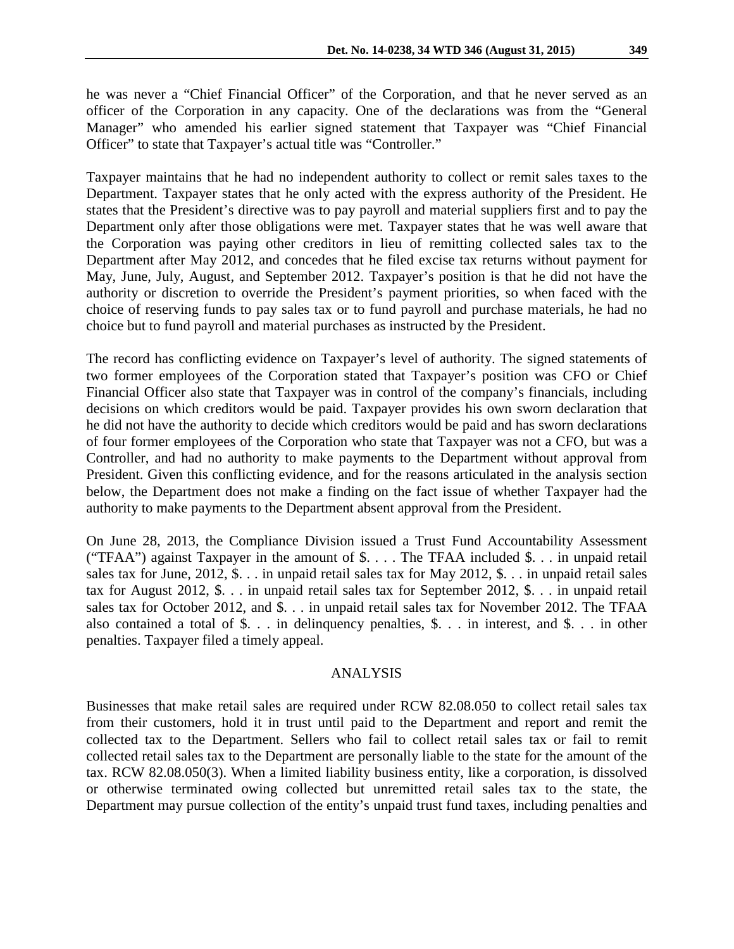he was never a "Chief Financial Officer" of the Corporation, and that he never served as an officer of the Corporation in any capacity. One of the declarations was from the "General Manager" who amended his earlier signed statement that Taxpayer was "Chief Financial Officer" to state that Taxpayer's actual title was "Controller."

Taxpayer maintains that he had no independent authority to collect or remit sales taxes to the Department. Taxpayer states that he only acted with the express authority of the President. He states that the President's directive was to pay payroll and material suppliers first and to pay the Department only after those obligations were met. Taxpayer states that he was well aware that the Corporation was paying other creditors in lieu of remitting collected sales tax to the Department after May 2012, and concedes that he filed excise tax returns without payment for May, June, July, August, and September 2012. Taxpayer's position is that he did not have the authority or discretion to override the President's payment priorities, so when faced with the choice of reserving funds to pay sales tax or to fund payroll and purchase materials, he had no choice but to fund payroll and material purchases as instructed by the President.

The record has conflicting evidence on Taxpayer's level of authority. The signed statements of two former employees of the Corporation stated that Taxpayer's position was CFO or Chief Financial Officer also state that Taxpayer was in control of the company's financials, including decisions on which creditors would be paid. Taxpayer provides his own sworn declaration that he did not have the authority to decide which creditors would be paid and has sworn declarations of four former employees of the Corporation who state that Taxpayer was not a CFO, but was a Controller, and had no authority to make payments to the Department without approval from President. Given this conflicting evidence, and for the reasons articulated in the analysis section below, the Department does not make a finding on the fact issue of whether Taxpayer had the authority to make payments to the Department absent approval from the President.

On June 28, 2013, the Compliance Division issued a Trust Fund Accountability Assessment ("TFAA") against Taxpayer in the amount of \$. . . . The TFAA included \$. . . in unpaid retail sales tax for June, 2012, \$. . . in unpaid retail sales tax for May 2012, \$. . . in unpaid retail sales tax for August 2012, \$. . . in unpaid retail sales tax for September 2012, \$. . . in unpaid retail sales tax for October 2012, and \$. . . in unpaid retail sales tax for November 2012. The TFAA also contained a total of \$. . . in delinquency penalties, \$. . . in interest, and \$. . . in other penalties. Taxpayer filed a timely appeal.

#### ANALYSIS

Businesses that make retail sales are required under RCW 82.08.050 to collect retail sales tax from their customers, hold it in trust until paid to the Department and report and remit the collected tax to the Department. Sellers who fail to collect retail sales tax or fail to remit collected retail sales tax to the Department are personally liable to the state for the amount of the tax. RCW 82.08.050(3). When a limited liability business entity, like a corporation, is dissolved or otherwise terminated owing collected but unremitted retail sales tax to the state, the Department may pursue collection of the entity's unpaid trust fund taxes, including penalties and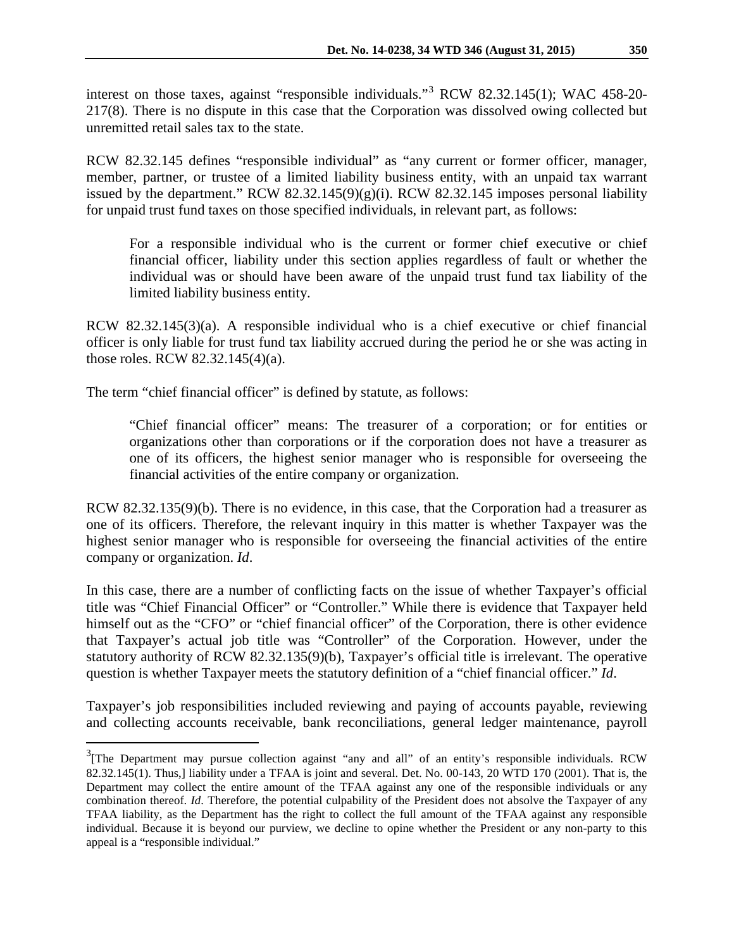interest on those taxes, against "responsible individuals."[3](#page-4-0) RCW 82.32.145(1); WAC 458-20- 217(8). There is no dispute in this case that the Corporation was dissolved owing collected but unremitted retail sales tax to the state.

RCW 82.32.145 defines "responsible individual" as "any current or former officer, manager, member, partner, or trustee of a limited liability business entity, with an unpaid tax warrant issued by the department." RCW  $82.32.145(9)(g)(i)$ . RCW  $82.32.145$  imposes personal liability for unpaid trust fund taxes on those specified individuals, in relevant part, as follows:

For a responsible individual who is the current or former chief executive or chief financial officer, liability under this section applies regardless of fault or whether the individual was or should have been aware of the unpaid trust fund tax liability of the limited liability business entity.

RCW 82.32.145(3)(a). A responsible individual who is a chief executive or chief financial officer is only liable for trust fund tax liability accrued during the period he or she was acting in those roles. RCW 82.32.145(4)(a).

The term "chief financial officer" is defined by statute, as follows:

"Chief financial officer" means: The treasurer of a corporation; or for entities or organizations other than corporations or if the corporation does not have a treasurer as one of its officers, the highest senior manager who is responsible for overseeing the financial activities of the entire company or organization.

RCW 82.32.135(9)(b). There is no evidence, in this case, that the Corporation had a treasurer as one of its officers. Therefore, the relevant inquiry in this matter is whether Taxpayer was the highest senior manager who is responsible for overseeing the financial activities of the entire company or organization. *Id*.

In this case, there are a number of conflicting facts on the issue of whether Taxpayer's official title was "Chief Financial Officer" or "Controller." While there is evidence that Taxpayer held himself out as the "CFO" or "chief financial officer" of the Corporation, there is other evidence that Taxpayer's actual job title was "Controller" of the Corporation. However, under the statutory authority of RCW 82.32.135(9)(b), Taxpayer's official title is irrelevant. The operative question is whether Taxpayer meets the statutory definition of a "chief financial officer." *Id*.

Taxpayer's job responsibilities included reviewing and paying of accounts payable, reviewing and collecting accounts receivable, bank reconciliations, general ledger maintenance, payroll

<span id="page-4-0"></span><sup>&</sup>lt;sup>3</sup>[The Department may pursue collection against "any and all" of an entity's responsible individuals. RCW 82.32.145(1). Thus,] liability under a TFAA is joint and several. Det. No. 00-143, 20 WTD 170 (2001). That is, the Department may collect the entire amount of the TFAA against any one of the responsible individuals or any combination thereof. *Id*. Therefore, the potential culpability of the President does not absolve the Taxpayer of any TFAA liability, as the Department has the right to collect the full amount of the TFAA against any responsible individual. Because it is beyond our purview, we decline to opine whether the President or any non-party to this appeal is a "responsible individual."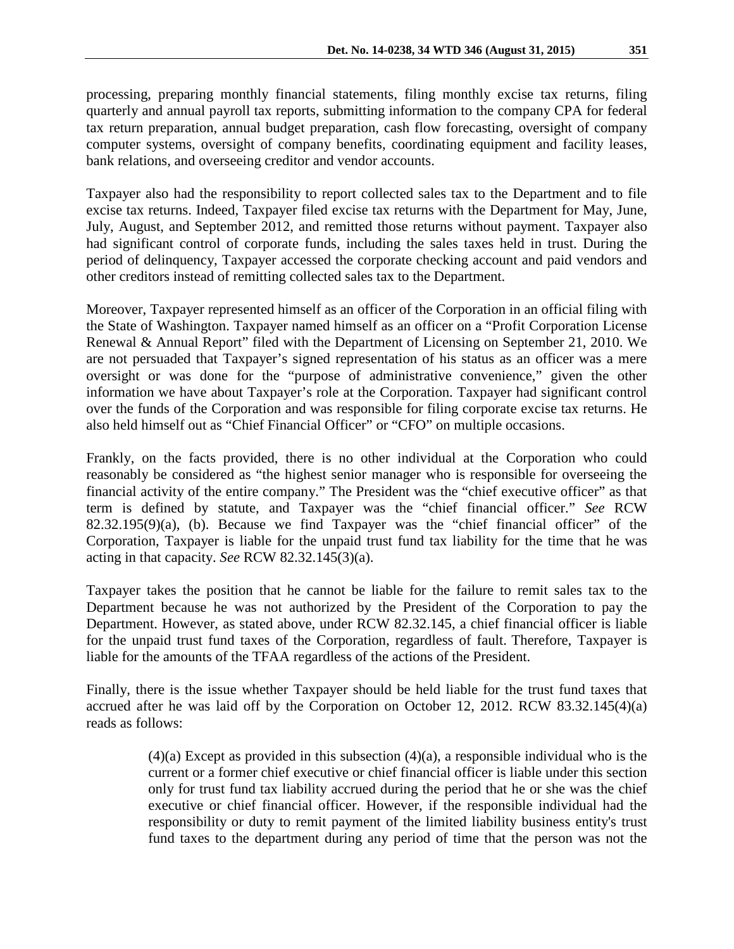processing, preparing monthly financial statements, filing monthly excise tax returns, filing quarterly and annual payroll tax reports, submitting information to the company CPA for federal tax return preparation, annual budget preparation, cash flow forecasting, oversight of company computer systems, oversight of company benefits, coordinating equipment and facility leases, bank relations, and overseeing creditor and vendor accounts.

Taxpayer also had the responsibility to report collected sales tax to the Department and to file excise tax returns. Indeed, Taxpayer filed excise tax returns with the Department for May, June, July, August, and September 2012, and remitted those returns without payment. Taxpayer also had significant control of corporate funds, including the sales taxes held in trust. During the period of delinquency, Taxpayer accessed the corporate checking account and paid vendors and other creditors instead of remitting collected sales tax to the Department.

Moreover, Taxpayer represented himself as an officer of the Corporation in an official filing with the State of Washington. Taxpayer named himself as an officer on a "Profit Corporation License Renewal & Annual Report" filed with the Department of Licensing on September 21, 2010. We are not persuaded that Taxpayer's signed representation of his status as an officer was a mere oversight or was done for the "purpose of administrative convenience," given the other information we have about Taxpayer's role at the Corporation. Taxpayer had significant control over the funds of the Corporation and was responsible for filing corporate excise tax returns. He also held himself out as "Chief Financial Officer" or "CFO" on multiple occasions.

Frankly, on the facts provided, there is no other individual at the Corporation who could reasonably be considered as "the highest senior manager who is responsible for overseeing the financial activity of the entire company." The President was the "chief executive officer" as that term is defined by statute, and Taxpayer was the "chief financial officer." *See* RCW 82.32.195(9)(a), (b). Because we find Taxpayer was the "chief financial officer" of the Corporation, Taxpayer is liable for the unpaid trust fund tax liability for the time that he was acting in that capacity. *See* RCW 82.32.145(3)(a).

Taxpayer takes the position that he cannot be liable for the failure to remit sales tax to the Department because he was not authorized by the President of the Corporation to pay the Department. However, as stated above, under RCW 82.32.145, a chief financial officer is liable for the unpaid trust fund taxes of the Corporation, regardless of fault. Therefore, Taxpayer is liable for the amounts of the TFAA regardless of the actions of the President.

Finally, there is the issue whether Taxpayer should be held liable for the trust fund taxes that accrued after he was laid off by the Corporation on October 12, 2012. RCW 83.32.145(4)(a) reads as follows:

> $(4)(a)$  Except as provided in this subsection  $(4)(a)$ , a responsible individual who is the current or a former chief executive or chief financial officer is liable under this section only for trust fund tax liability accrued during the period that he or she was the chief executive or chief financial officer. However, if the responsible individual had the responsibility or duty to remit payment of the limited liability business entity's trust fund taxes to the department during any period of time that the person was not the